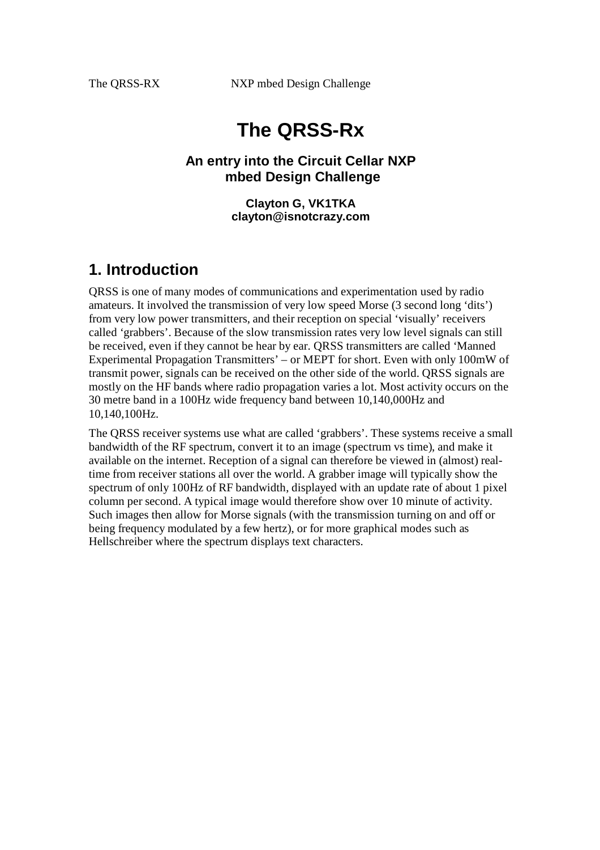# **The QRSS-Rx**

#### **An entry into the Circuit Cellar NXP mbed Design Challenge**

**Clayton G, VK1TKA clayton@isnotcrazy.com**

### **1. Introduction**

QRSS is one of many modes of communications and experimentation used by radio amateurs. It involved the transmission of very low speed Morse (3 second long 'dits') from very low power transmitters, and their reception on special 'visually' receivers called 'grabbers'. Because of the slow transmission rates very low level signals can still be received, even if they cannot be hear by ear. QRSS transmitters are called 'Manned Experimental Propagation Transmitters' – or MEPT for short. Even with only 100mW of transmit power, signals can be received on the other side of the world. QRSS signals are mostly on the HF bands where radio propagation varies a lot. Most activity occurs on the 30 metre band in a 100Hz wide frequency band between 10,140,000Hz and 10,140,100Hz.

The QRSS receiver systems use what are called 'grabbers'. These systems receive a small bandwidth of the RF spectrum, convert it to an image (spectrum vs time), and make it available on the internet. Reception of a signal can therefore be viewed in (almost) realtime from receiver stations all over the world. A grabber image will typically show the spectrum of only 100Hz of RF bandwidth, displayed with an update rate of about 1 pixel column per second. A typical image would therefore show over 10 minute of activity. Such images then allow for Morse signals (with the transmission turning on and off or being frequency modulated by a few hertz), or for more graphical modes such as Hellschreiber where the spectrum displays text characters.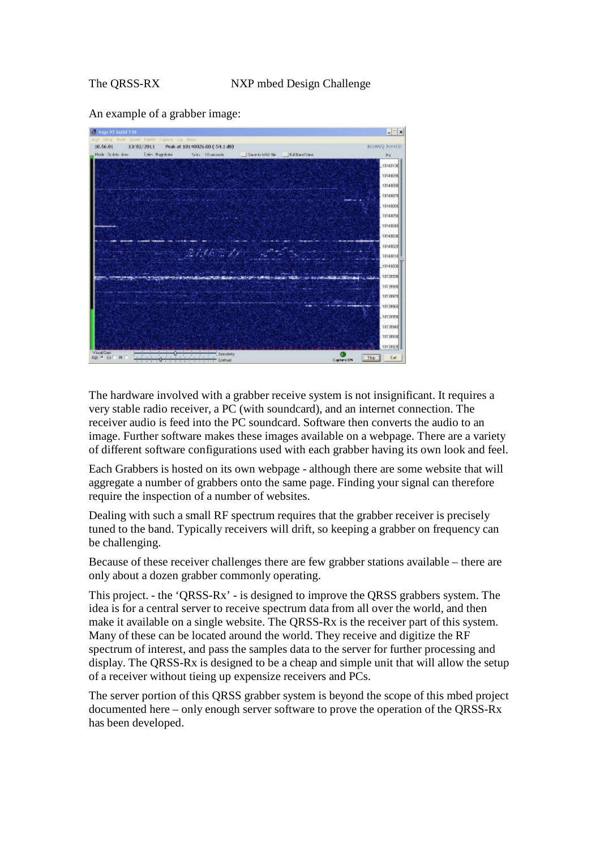An example of a grabber image:



The hardware involved with a grabber receive system is not insignificant. It requires a very stable radio receiver, a PC (with soundcard), and an internet connection. The receiver audio is feed into the PC soundcard. Software then converts the audio to an image. Further software makes these images available on a webpage. There are a variety of different software configurations used with each grabber having its own look and feel.

Each Grabbers is hosted on its own webpage - although there are some website that will aggregate a number of grabbers onto the same page. Finding your signal can therefore require the inspection of a number of websites.

Dealing with such a small RF spectrum requires that the grabber receiver is precisely tuned to the band. Typically receivers will drift, so keeping a grabber on frequency can be challenging.

Because of these receiver challenges there are few grabber stations available – there are only about a dozen grabber commonly operating.

This project. - the 'QRSS-Rx'- is designed to improve the QRSS grabbers system. The idea is for a central server to receive spectrum data from all over the world, and then make it available on a single website. The QRSS-Rx is the receiver part of this system. Many of these can be located around the world. They receive and digitize the RF spectrum of interest, and pass the samples data to the server for further processing and display. The QRSS-Rx is designed to be a cheap and simple unit that will allow the setup of a receiver without tieing up expensize receivers and PCs.

The server portion of this QRSS grabber system is beyond the scope of this mbed project documented here – only enough server software to prove the operation of the QRSS-Rx has been developed.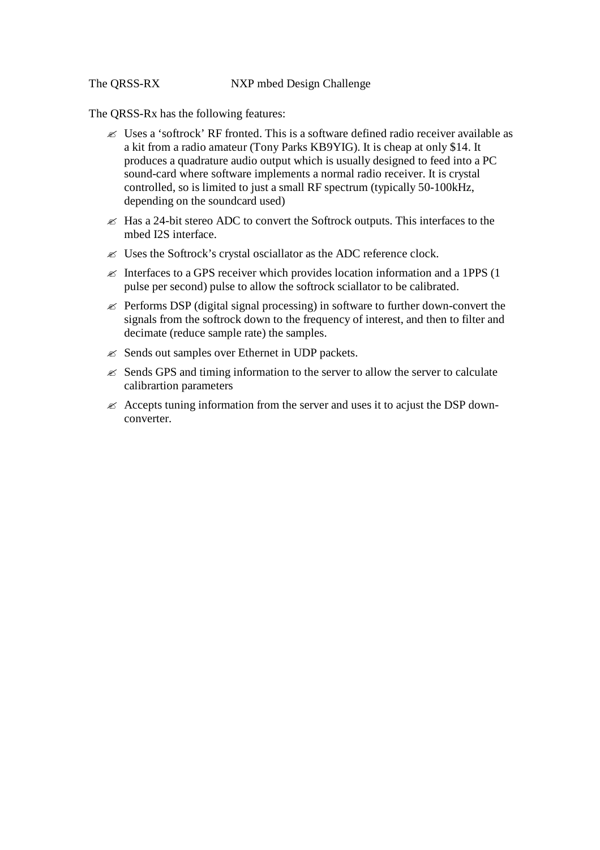The QRSS-Rx has the following features:

- ? Uses a 'softrock' RF fronted. This is a software defined radio receiver available as a kit from a radio amateur (Tony Parks KB9YIG). It is cheap at only \$14. It produces a quadrature audio output which is usually designed to feed into a PC sound-card where software implements a normal radio receiver. It is crystal controlled, so is limited to just a small RF spectrum (typically 50-100kHz, depending on the soundcard used)
- $\mathcal{L}$  Has a 24-bit stereo ADC to convert the Softrock outputs. This interfaces to the mbed I2S interface.
- $\mathcal{L}$  Uses the Softrock's crystal osciallator as the ADC reference clock.
- $\mathscr{L}$  Interfaces to a GPS receiver which provides location information and a 1PPS (1) pulse per second) pulse to allow the softrock sciallator to be calibrated.
- $\mathscr{\mathscr{L}}$  Performs DSP (digital signal processing) in software to further down-convert the signals from the softrock down to the frequency of interest, and then to filter and decimate (reduce sample rate) the samples.
- $\mathscr{L}$  Sends out samples over Ethernet in UDP packets.
- $\mathscr E$  Sends GPS and timing information to the server to allow the server to calculate calibrartion parameters
- $\ll$  Accepts tuning information from the server and uses it to acjust the DSP downconverter.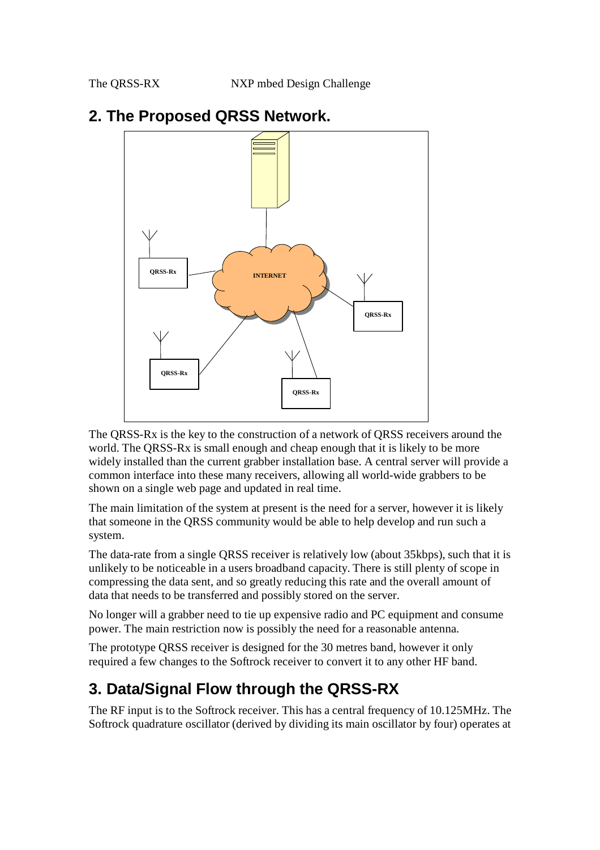

### **2. The Proposed QRSS Network.**

The QRSS-Rx is the key to the construction of a network of QRSS receivers around the world. The QRSS-Rx is small enough and cheap enough that it is likely to be more widely installed than the current grabber installation base. A central server will provide a common interface into these many receivers, allowing all world-wide grabbers to be shown on a single web page and updated in real time.

The main limitation of the system at present is the need for a server, however it is likely that someone in the QRSS community would be able to help develop and run such a system.

The data-rate from a single QRSS receiver is relatively low (about 35kbps), such that it is unlikely to be noticeable in a users broadband capacity. There is still plenty of scope in compressing the data sent, and so greatly reducing this rate and the overall amount of data that needs to be transferred and possibly stored on the server.

No longer will a grabber need to tie up expensive radio and PC equipment and consume power. The main restriction now is possibly the need for a reasonable antenna.

The prototype QRSS receiver is designed for the 30 metres band, however it only required a few changes to the Softrock receiver to convert it to any other HF band.

## **3. Data/Signal Flow through the QRSS-RX**

The RF input is to the Softrock receiver. This has a central frequency of 10.125MHz. The Softrock quadrature oscillator (derived by dividing its main oscillator by four) operates at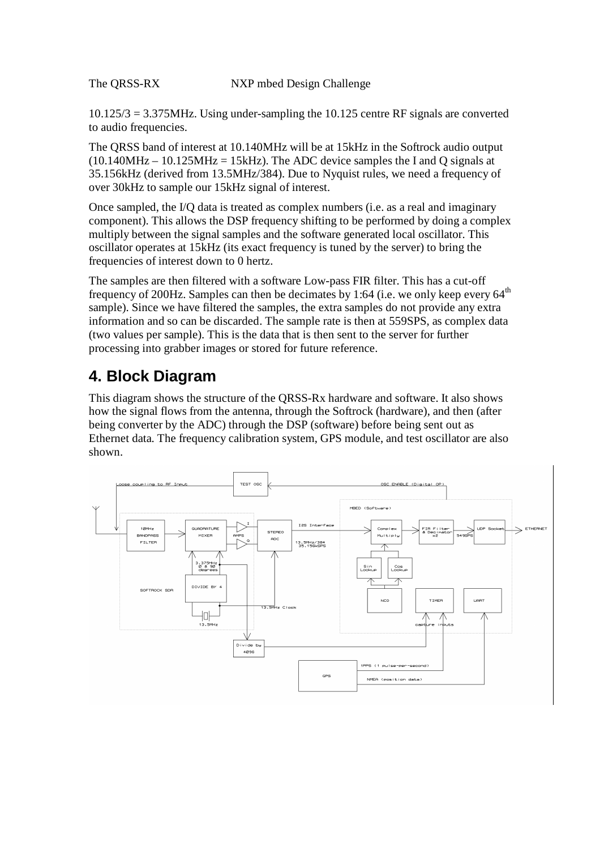10.125/3 = 3.375MHz. Using under-sampling the 10.125 centre RF signals are converted to audio frequencies.

The QRSS band of interest at 10.140MHz will be at 15kHz in the Softrock audio output  $(10.140 MHz - 10.125 MHz = 15 kHz)$ . The ADC device samples the I and Q signals at 35.156kHz (derived from 13.5MHz/384). Due to Nyquist rules, we need a frequency of over 30kHz to sample our 15kHz signal of interest.

Once sampled, the I/Q data is treated as complex numbers (i.e. as a real and imaginary component). This allows the DSP frequency shifting to be performed by doing a complex multiply between the signal samples and the software generated local oscillator. This oscillator operates at 15kHz (its exact frequency is tuned by the server) to bring the frequencies of interest down to 0 hertz.

The samples are then filtered with a software Low-pass FIR filter. This has a cut-off frequency of 200Hz. Samples can then be decimates by 1:64 (i.e. we only keep every  $64<sup>th</sup>$ sample). Since we have filtered the samples, the extra samples do not provide any extra information and so can be discarded. The sample rate is then at 559SPS, as complex data (two values per sample). This is the data that is then sent to the server for further processing into grabber images or stored for future reference.

# **4. Block Diagram**

This diagram shows the structure of the QRSS-Rx hardware and software. It also shows how the signal flows from the antenna, through the Softrock (hardware), and then (after being converter by the ADC) through the DSP (software) before being sent out as Ethernet data. The frequency calibration system, GPS module, and test oscillator are also shown.

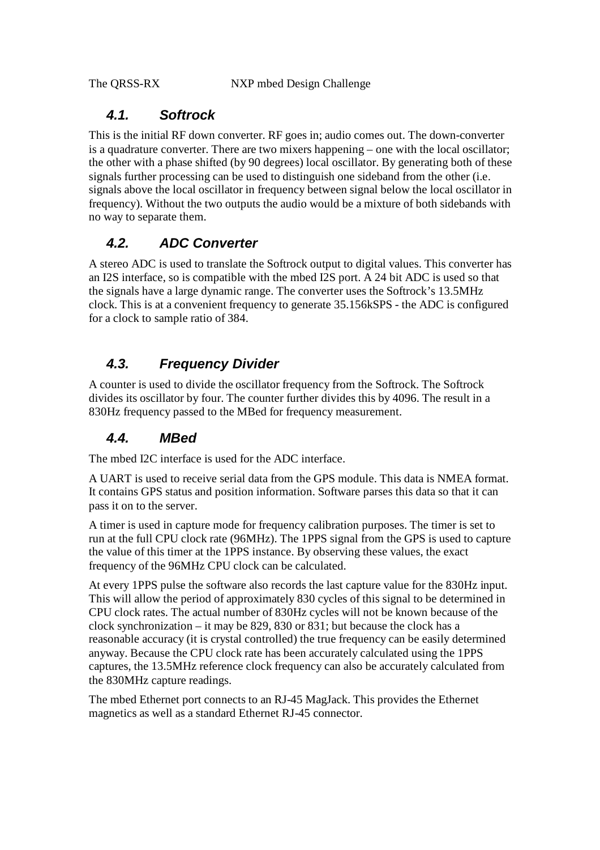#### *4.1. Softrock*

This is the initial RF down converter. RF goes in; audio comes out. The down-converter is a quadrature converter. There are two mixers happening – one with the local oscillator; the other with a phase shifted (by 90 degrees) local oscillator. By generating both of these signals further processing can be used to distinguish one sideband from the other (i.e. signals above the local oscillator in frequency between signal below the local oscillator in frequency). Without the two outputs the audio would be a mixture of both sidebands with no way to separate them.

### *4.2. ADC Converter*

A stereo ADC is used to translate the Softrock output to digital values. This converter has an I2S interface, so is compatible with the mbed I2S port. A 24 bit ADC is used so that the signals have a large dynamic range. The converter uses the Softrock's 13.5MHz clock. This is at a convenient frequency to generate 35.156kSPS - the ADC is configured for a clock to sample ratio of 384.

#### *4.3. Frequency Divider*

A counter is used to divide the oscillator frequency from the Softrock. The Softrock divides its oscillator by four. The counter further divides this by 4096. The result in a 830Hz frequency passed to the MBed for frequency measurement.

### *4.4. MBed*

The mbed I2C interface is used for the ADC interface.

A UART is used to receive serial data from the GPS module. This data is NMEA format. It contains GPS status and position information. Software parses this data so that it can pass it on to the server.

A timer is used in capture mode for frequency calibration purposes. The timer is set to run at the full CPU clock rate (96MHz). The 1PPS signal from the GPS is used to capture the value of this timer at the 1PPS instance. By observing these values, the exact frequency of the 96MHz CPU clock can be calculated.

At every 1PPS pulse the software also records the last capture value for the 830Hz input. This will allow the period of approximately 830 cycles of this signal to be determined in CPU clock rates. The actual number of 830Hz cycles will not be known because of the clock synchronization – it may be 829, 830 or 831; but because the clock has a reasonable accuracy (it is crystal controlled) the true frequency can be easily determined anyway. Because the CPU clock rate has been accurately calculated using the 1PPS captures, the 13.5MHz reference clock frequency can also be accurately calculated from the 830MHz capture readings.

The mbed Ethernet port connects to an RJ-45 MagJack. This provides the Ethernet magnetics as well as a standard Ethernet RJ-45 connector.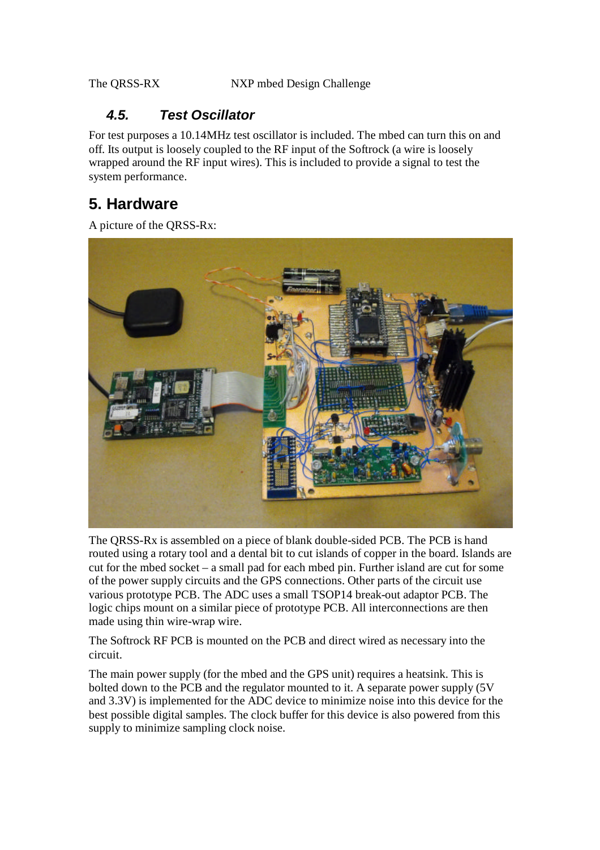### *4.5. Test Oscillator*

For test purposes a 10.14MHz test oscillator is included. The mbed can turn this on and off. Its output is loosely coupled to the RF input of the Softrock (a wire is loosely wrapped around the RF input wires). This is included to provide a signal to test the system performance.

# **5. Hardware**

A picture of the QRSS-Rx:



The QRSS-Rx is assembled on a piece of blank double-sided PCB. The PCB is hand routed using a rotary tool and a dental bit to cut islands of copper in the board. Islands are cut for the mbed socket – a small pad for each mbed pin. Further island are cut for some of the power supply circuits and the GPS connections. Other parts of the circuit use various prototype PCB. The ADC uses a small TSOP14 break-out adaptor PCB. The logic chips mount on a similar piece of prototype PCB. All interconnections are then made using thin wire-wrap wire.

The Softrock RF PCB is mounted on the PCB and direct wired as necessary into the circuit.

The main power supply (for the mbed and the GPS unit) requires a heatsink. This is bolted down to the PCB and the regulator mounted to it. A separate power supply (5V and 3.3V) is implemented for the ADC device to minimize noise into this device for the best possible digital samples. The clock buffer for this device is also powered from this supply to minimize sampling clock noise.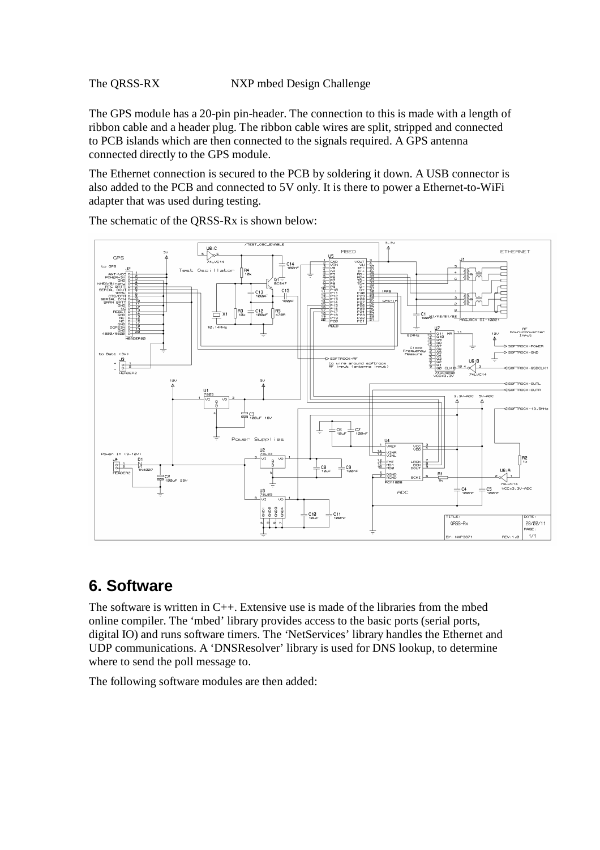The GPS module has a 20-pin pin-header. The connection to this is made with a length of ribbon cable and a header plug. The ribbon cable wires are split, stripped and connected to PCB islands which are then connected to the signals required. A GPS antenna connected directly to the GPS module.

The Ethernet connection is secured to the PCB by soldering it down. A USB connector is also added to the PCB and connected to 5V only. It is there to power a Ethernet-to-WiFi adapter that was used during testing.



The schematic of the QRSS-Rx is shown below:

### **6. Software**

The software is written in C++. Extensive use is made of the libraries from the mbed online compiler. The 'mbed' library provides access to the basic ports (serial ports, digital IO) and runs software timers. The 'NetServices' library handles the Ethernet and UDP communications. A 'DNSResolver' library is used for DNS lookup, to determine where to send the poll message to.

The following software modules are then added: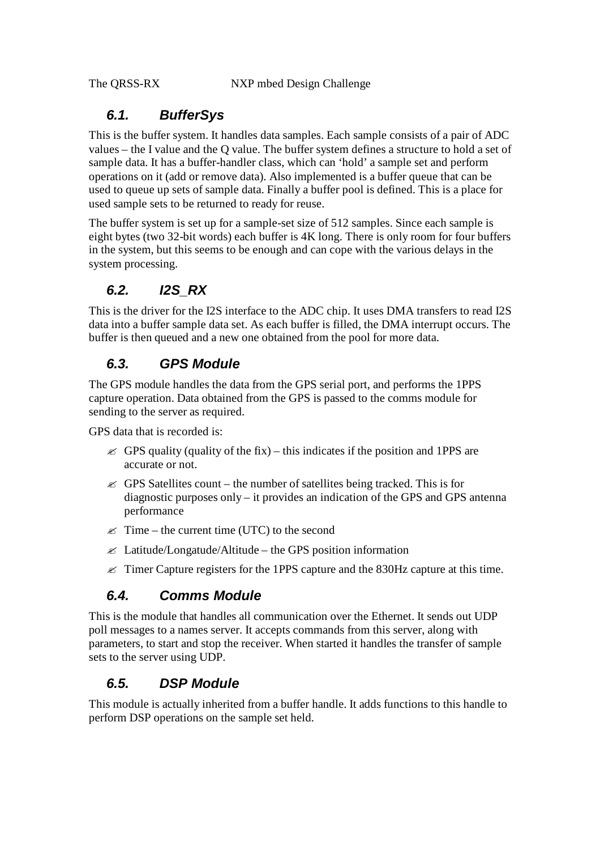### *6.1. BufferSys*

This is the buffer system. It handles data samples. Each sample consists of a pair of ADC values – the I value and the Q value. The buffer system defines a structure to hold a set of sample data. It has a buffer-handler class, which can 'hold' a sample set and perform operations on it (add or remove data). Also implemented is a buffer queue that can be used to queue up sets of sample data. Finally a buffer pool is defined. This is a place for used sample sets to be returned to ready for reuse.

The buffer system is set up for a sample-set size of 512 samples. Since each sample is eight bytes (two 32-bit words) each buffer is 4K long. There is only room for four buffers in the system, but this seems to be enough and can cope with the various delays in the system processing.

### *6.2. I2S\_RX*

This is the driver for the I2S interface to the ADC chip. It uses DMA transfers to read I2S data into a buffer sample data set. As each buffer is filled, the DMA interrupt occurs. The buffer is then queued and a new one obtained from the pool for more data.

### *6.3. GPS Module*

The GPS module handles the data from the GPS serial port, and performs the 1PPS capture operation. Data obtained from the GPS is passed to the comms module for sending to the server as required.

GPS data that is recorded is:

- $\le$  GPS quality (quality of the fix) this indicates if the position and 1PPS are accurate or not.
- $\mathscr{\mathscr{E}}$  GPS Satellites count the number of satellites being tracked. This is for diagnostic purposes only – it provides an indication of the GPS and GPS antenna performance
- $\mathscr{\mathscr{E}}$  Time the current time (UTC) to the second
- $\mathscr{L}$  Latitude/Longatude/Altitude the GPS position information
- $\approx$  Timer Capture registers for the 1PPS capture and the 830Hz capture at this time.

### *6.4. Comms Module*

This is the module that handles all communication over the Ethernet. It sends out UDP poll messages to a names server. It accepts commands from this server, along with parameters, to start and stop the receiver. When started it handles the transfer of sample sets to the server using UDP.

### *6.5. DSP Module*

This module is actually inherited from a buffer handle. It adds functions to this handle to perform DSP operations on the sample set held.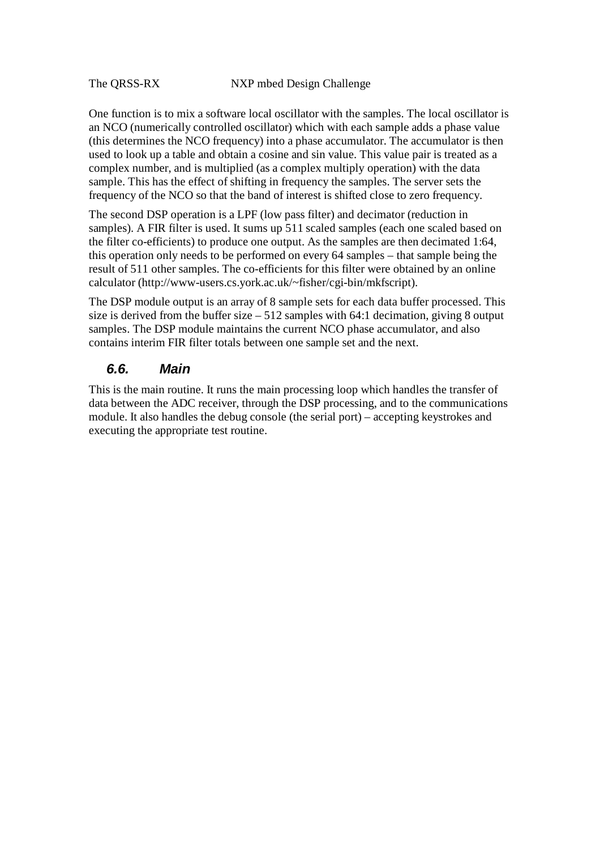One function is to mix a software local oscillator with the samples. The local oscillator is an NCO (numerically controlled oscillator) which with each sample adds a phase value (this determines the NCO frequency) into a phase accumulator. The accumulator is then used to look up a table and obtain a cosine and sin value. This value pair is treated as a complex number, and is multiplied (as a complex multiply operation) with the data sample. This has the effect of shifting in frequency the samples. The server sets the frequency of the NCO so that the band of interest is shifted close to zero frequency.

The second DSP operation is a LPF (low pass filter) and decimator (reduction in samples). A FIR filter is used. It sums up 511 scaled samples (each one scaled based on the filter co-efficients) to produce one output. As the samples are then decimated 1:64, this operation only needs to be performed on every 64 samples – that sample being the result of 511 other samples. The co-efficients for this filter were obtained by an online calculator (http://www-users.cs.york.ac.uk/~fisher/cgi-bin/mkfscript).

The DSP module output is an array of 8 sample sets for each data buffer processed. This size is derived from the buffer size  $-512$  samples with 64:1 decimation, giving 8 output samples. The DSP module maintains the current NCO phase accumulator, and also contains interim FIR filter totals between one sample set and the next.

#### *6.6. Main*

This is the main routine. It runs the main processing loop which handles the transfer of data between the ADC receiver, through the DSP processing, and to the communications module. It also handles the debug console (the serial port) – accepting keystrokes and executing the appropriate test routine.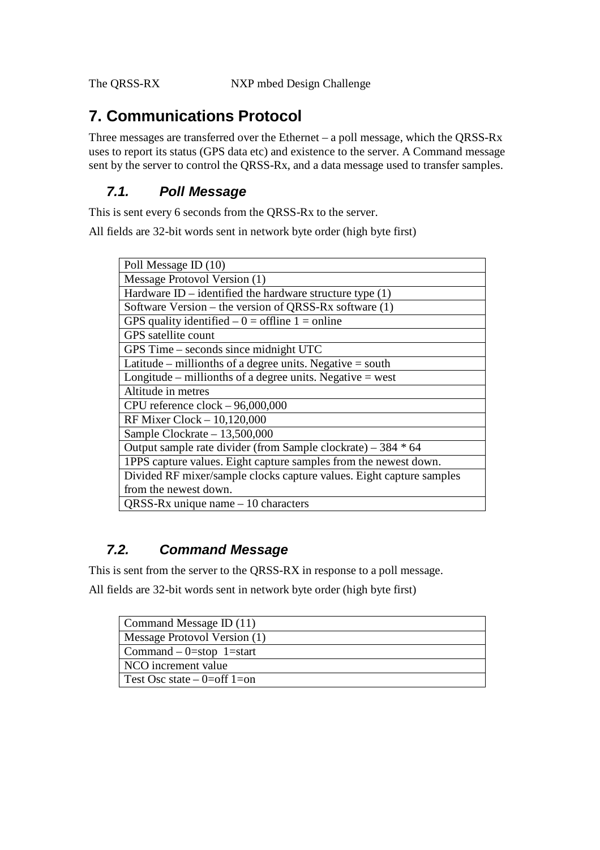## **7. Communications Protocol**

Three messages are transferred over the Ethernet – a poll message, which the QRSS-Rx uses to report its status (GPS data etc) and existence to the server. A Command message sent by the server to control the QRSS-Rx, and a data message used to transfer samples.

#### *7.1. Poll Message*

This is sent every 6 seconds from the QRSS-Rx to the server.

All fields are 32-bit words sent in network byte order (high byte first)

| Poll Message ID (10)                                                 |
|----------------------------------------------------------------------|
| Message Protovol Version (1)                                         |
| Hardware ID – identified the hardware structure type $(1)$           |
| Software Version – the version of QRSS-Rx software (1)               |
| GPS quality identified $-0$ = offline 1 = online                     |
| <b>GPS</b> satellite count                                           |
| GPS Time - seconds since midnight UTC                                |
| Latitude – millionths of a degree units. Negative = south            |
| Longitude – millionths of a degree units. Negative = west            |
| Altitude in metres                                                   |
| CPU reference $clock - 96,000,000$                                   |
| RF Mixer Clock - 10,120,000                                          |
| Sample Clockrate $-13,500,000$                                       |
| Output sample rate divider (from Sample clockrate) – 384 * 64        |
| 1PPS capture values. Eight capture samples from the newest down.     |
| Divided RF mixer/sample clocks capture values. Eight capture samples |
| from the newest down.                                                |
| QRSS-Rx unique name $-10$ characters                                 |
|                                                                      |

### *7.2. Command Message*

This is sent from the server to the QRSS-RX in response to a poll message.

All fields are 32-bit words sent in network byte order (high byte first)

| Command Message ID (11)       |
|-------------------------------|
| Message Protovol Version (1)  |
| Command $-$ 0=stop 1=start    |
| NCO increment value           |
| Test Osc state $-$ 0=off 1=on |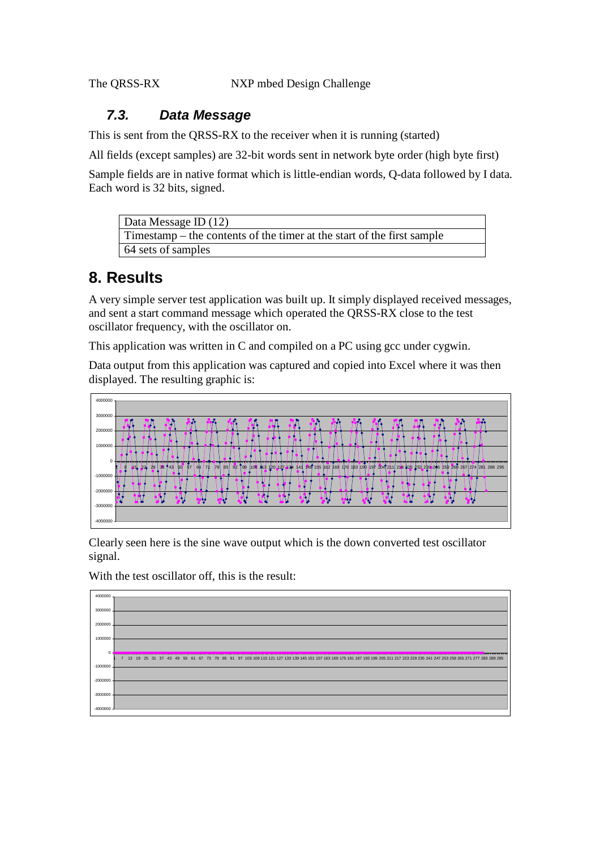#### *7.3. Data Message*

This is sent from the QRSS-RX to the receiver when it is running (started)

All fields (except samples) are 32-bit words sent in network byte order (high byte first)

Sample fields are in native format which is little-endian words, Q-data followed by I data. Each word is 32 bits, signed.

| Data Message ID (12)                                                     |
|--------------------------------------------------------------------------|
| Timestamp $-$ the contents of the timer at the start of the first sample |
| 64 sets of samples                                                       |

# **8. Results**

A very simple server test application was built up. It simply displayed received messages, and sent a start command message which operated the QRSS-RX close to the test oscillator frequency, with the oscillator on.

This application was written in C and compiled on a PC using gcc under cygwin.

Data output from this application was captured and copied into Excel where it was then displayed. The resulting graphic is:



Clearly seen here is the sine wave output which is the down converted test oscillator signal.

With the test oscillator off, this is the result: